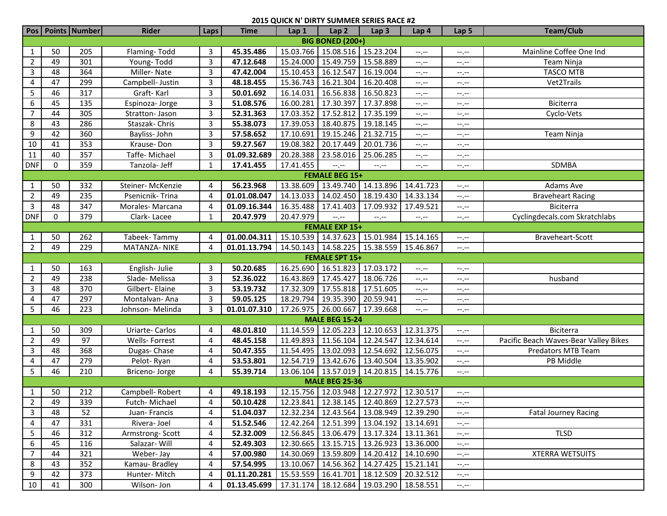|                         |                       | Pos   Points   Number | <b>Rider</b>        | Laps           | <b>Time</b>  | Lap 1               | Lap <sub>2</sub>                              | Lap <sub>3</sub>      | Lap 4                         | Lap <sub>5</sub> | <b>Team/Club</b>                      |
|-------------------------|-----------------------|-----------------------|---------------------|----------------|--------------|---------------------|-----------------------------------------------|-----------------------|-------------------------------|------------------|---------------------------------------|
| <b>BIG BONED (200+)</b> |                       |                       |                     |                |              |                     |                                               |                       |                               |                  |                                       |
| 1                       | 50                    | 205                   | Flaming-Todd        | 3              | 45.35.486    | 15.03.766           | 15.08.516 15.23.204                           |                       | $-1, -1$                      | $-1, -1$         | Mainline Coffee One Ind               |
| $\overline{2}$          | 49                    | 301                   | Young-Todd          | 3              | 47.12.648    | 15.24.000           | 15.49.759                                     | 15.58.889             | $-1$                          | $-1$ , $-1$      | Team Ninja                            |
| 3                       | 48                    | 364                   | Miller-Nate         | 3              | 47.42.004    | 15.10.453           | 16.12.547                                     | 16.19.004             | $-1$ .                        | $-1$ , $-1$      | <b>TASCO MTB</b>                      |
| 4                       | 47                    | 299                   | Campbell- Justin    | 3              | 48.18.455    | 15.36.743           | 16.21.304                                     | 16.20.408             | $-1, -1$                      | $-1, -1$         | Vet2Trails                            |
| 5                       | 46                    | 317                   | Graft-Karl          | 3              | 50.01.692    | 16.14.031           | 16.56.838                                     | 16.50.823             | $-1$                          | $-1, -1$         |                                       |
| 6                       | 45                    | 135                   | Espinoza-Jorge      | 3              | 51.08.576    | 16.00.281           | 17.30.397                                     | 17.37.898             | --.--                         | $-1, -1$         | Biciterra                             |
| $\overline{7}$          | 44                    | 305                   | Stratton- Jason     | $\overline{3}$ | 52.31.363    | 17.03.352           | 17.52.812                                     | 17.35.199             | $-1$                          | --.--            | Cyclo-Vets                            |
| 8                       | 43                    | 286                   | Staszak-Chris       | $\overline{3}$ | 55.38.073    | 17.39.053           | 18.40.875                                     | 19.18.145             | $-1$                          | $-1, -1$         |                                       |
| 9                       | 42                    | 360                   | Bayliss-John        | 3              | 57.58.652    | 17.10.691           | 19.15.246                                     | 21.32.715             | $-1$ . $-1$                   | $-1, -1$         | Team Ninja                            |
| 10                      | 41                    | 353                   | Krause-Don          | 3              | 59.27.567    | 19.08.382           | 20.17.449                                     | 20.01.736             | $-1$ . $-1$                   | $-1, -1$         |                                       |
| 11                      | 40                    | 357                   | Taffe-Michael       | 3              | 01.09.32.689 | 20.28.388           | 23.58.016                                     | 25.06.285             | $-1$                          | $-1, -1$         |                                       |
| <b>DNF</b>              | $\mathbf 0$           | 359                   | Tanzola- Jeff       | 1              | 17.41.455    | 17.41.455           | $-1$                                          | $-1, -1$              | --.--                         | $-1, -1$         | SDMBA                                 |
|                         |                       |                       |                     |                |              |                     | <b>FEMALE BEG 15+</b>                         |                       |                               |                  |                                       |
| 1                       | 50                    | 332                   | Steiner-McKenzie    | 4              | 56.23.968    | 13.38.609           | 13.49.740                                     | 14.13.896             | 14.41.723                     | $-1$ , $-1$      | Adams Ave                             |
| $\overline{2}$          | 49                    | 235                   | Psenicnik-Trina     | 4              | 01.01.08.047 | 14.13.033           | 14.02.450                                     | 18.19.430             | 14.33.134                     | $-1$ , $-1$      | <b>Braveheart Racing</b>              |
| $\mathbf{3}$            | 48                    | 347                   | Morales-Marcana     | 4              | 01.09.16.344 | 16.35.488           | 17.41.403                                     | 17.09.932             | 17.49.521                     | --.--            | Biciterra                             |
| <b>DNF</b>              | 0                     | 379                   | Clark-Lacee         | 1              | 20.47.979    | 20.47.979           | --,--                                         | $-1, -1$              | --.--                         | --.--            | Cyclingdecals.com Skratchlabs         |
|                         |                       |                       |                     |                |              |                     | <b>FEMALE EXP 15+</b>                         |                       |                               |                  |                                       |
| $\mathbf{1}$            | 50                    | 262                   | Tabeek-Tammy        | 4              | 01.00.04.311 |                     | 15.10.539 14.37.623 15.01.984                 |                       | 15.14.165                     | $-1$ . $-1$      | Braveheart-Scott                      |
| $\overline{2}$          | 49                    | 229                   | <b>MATANZA-NIKE</b> | 4              | 01.01.13.794 |                     | 14.50.143   14.58.225   15.38.559   15.46.867 |                       |                               | $-1, -1$         |                                       |
|                         | <b>FEMALE SPT 15+</b> |                       |                     |                |              |                     |                                               |                       |                               |                  |                                       |
| 1                       | 50                    | 163                   | English-Julie       | 3              | 50.20.685    | 16.25.690           | 16.51.823                                     | 17.03.172             | $-1$                          | $-1, -1$         |                                       |
| $\overline{2}$          | 49                    | 238                   | Slade-Melissa       | 3              | 52.36.022    | 16.43.869           | 17.45.427                                     | 18.06.726             | $-1$ , $-1$                   | $-1, -1$         | husband                               |
| 3                       | 48                    | 370                   | Gilbert- Elaine     | 3              | 53.19.732    | 17.32.309           | 17.55.818                                     | 17.51.605             | $-1$ , $-1$                   | $-1, -1$         |                                       |
| 4                       | 47                    | 297                   | Montalvan-Ana       | 3              | 59.05.125    | 18.29.794           | 19.35.390                                     | 20.59.941             | $\rightarrow$ , $\rightarrow$ | $-1, -1$         |                                       |
| 5                       | 46                    | 223                   | Johnson-Melinda     | 3              | 01.01.07.310 | 17.26.975 26.00.667 |                                               | 17.39.668             | $-1, -1$                      | $-1 - 1 - 1 = 0$ |                                       |
|                         |                       |                       |                     |                |              |                     | <b>MALE BEG 15-24</b>                         |                       |                               |                  |                                       |
| 1                       | 50                    | 309                   | Uriarte-Carlos      | 4              | 48.01.810    | 11.14.559           | 12.05.223                                     | 12.10.653             | 12.31.375                     | $-1$ . $-1$      | Biciterra                             |
| $\overline{2}$          | 49                    | 97                    | Wells- Forrest      | 4              | 48.45.158    | 11.49.893           | 11.56.104                                     | 12.24.547             | 12.34.614                     | $-1$ . $-1$      | Pacific Beach Waves-Bear Valley Bikes |
| 3                       | 48                    | 368                   | Dugas-Chase         | 4              | 50.47.355    | 11.54.495           | 13.02.093                                     | 12.54.692             | 12.56.075                     | $-1$ , $-1$      | Predators MTB Team                    |
| 4                       | 47                    | 279                   | Pelot-Ryan          | 4              | 53.53.801    | 12.54.719           | 13.42.676 13.40.504                           |                       | 13.35.902                     | --.--            | PB Middle                             |
| 5                       | 46                    | 210                   | Briceno-Jorge       | 4              | 55.39.714    |                     | 13.06.104 13.57.019 14.20.815                 |                       | 14.15.776                     | $-1$ , $-1$      |                                       |
|                         | <b>MALE BEG 25-36</b> |                       |                     |                |              |                     |                                               |                       |                               |                  |                                       |
| 1                       | 50                    | 212                   | Campbell-Robert     | 4              | 49.18.193    |                     | 12.15.756 12.03.948 12.27.972 12.30.517       |                       |                               | $-1, -1$         |                                       |
| $\overline{2}$          | 49                    | 339                   | Futch-Michael       | $\overline{4}$ | 50.10.428    |                     | 12.23.841 12.38.145 12.40.869 12.27.573       |                       |                               | --.--            |                                       |
| 3                       | 48                    | 52                    | Juan-Francis        | 4              | 51.04.037    |                     | 12.32.234   12.43.564   13.08.949   12.39.290 |                       |                               | $-1.1 - 1.0$     | <b>Fatal Journey Racing</b>           |
| 4                       | 47                    | 331                   | Rivera-Joel         | 4              | 51.52.546    |                     | 12.42.264 12.51.399 13.04.192                 |                       | 13.14.691                     | $-1, -1$         |                                       |
| 5                       | 46                    | 312                   | Armstrong-Scott     | 4              | 52.32.009    |                     | 12.56.845   13.06.479   13.17.324   13.11.361 |                       |                               | $-1, -1$         | <b>TLSD</b>                           |
| 6                       | 45                    | 116                   | Salazar- Will       | 4              | 52.49.303    |                     | 12.30.665   13.15.715   13.26.923   13.36.000 |                       |                               | $-1, -1$         |                                       |
| 7                       | 44                    | 321                   | Weber-Jay           | 4              | 57.00.980    |                     | 14.30.069 13.59.809                           | 14.20.412             | 14.10.690                     | --.--            | <b>XTERRA WETSUITS</b>                |
| 8                       | 43                    | 352                   | Kamau-Bradley       | 4              | 57.54.995    | 13.10.067           | 14.56.362                                     | 14.27.425 15.21.141   |                               | --.--            |                                       |
| 9                       | 42                    | 373                   | Hunter-Mitch        | 4              | 01.11.20.281 | 15.53.559 16.41.701 |                                               | 18.12.509             | 20.32.512                     | --.--            |                                       |
| 10                      | 41                    | 300                   | Wilson-Jon          | 4              | 01.13.45.699 |                     | 17.31.174 18.12.684                           | 19.03.290   18.58.551 |                               | $-1.1$           |                                       |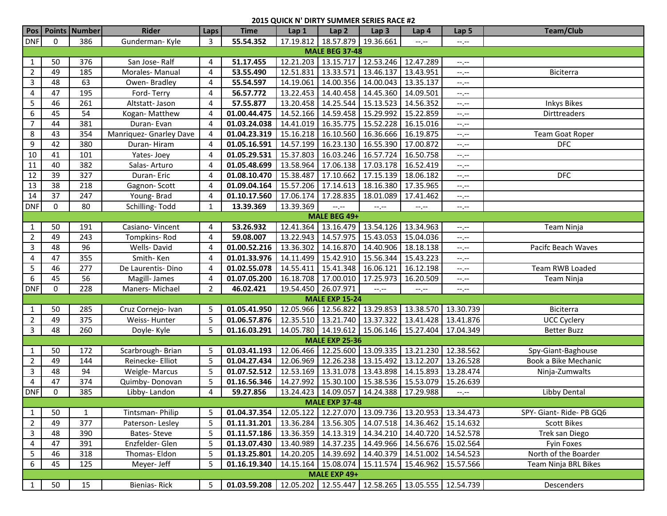| <b>DNF</b><br>$\mathbf 0$<br>55.54.352<br>17.19.812 18.57.879<br>386<br>Gunderman-Kyle<br>3<br>19.36.661<br>$-1$<br>$-1, -1$<br><b>MALE BEG 37-48</b><br>13.15.717 12.53.246<br>51.17.455<br>12.21.203<br>12.47.289<br>50<br>376<br>San Jose-Ralf<br>1<br>4<br>$-1$ , $-1$<br>$\overline{2}$<br>49<br>185<br>Morales-Manual<br>53.55.490<br>12.51.831<br>13.33.571<br>13.46.137<br>13.43.951<br>4<br>Biciterra<br>$-1$ , $-1$<br>$\overline{3}$<br>48<br>63<br>13.35.137<br>55.54.597<br>14.19.061<br>14.00.356<br>14.00.043<br>Owen-Bradley<br>4<br>$-1$<br>47<br>195<br>56.57.772<br>14.40.458 14.45.360<br>4<br>Ford-Terry<br>13.22.453<br>14.09.501<br>4<br>$-1$<br>13.20.458 14.25.544<br>5<br>46<br>261<br>Altstatt- Jason<br>57.55.877<br>15.13.523<br>14.56.352<br><b>Inkys Bikes</b><br>4<br>$-1$ , $-1$<br>54<br>14.52.166 14.59.458<br>6<br>45<br>01.00.44.475<br>15.29.992<br>15.22.859<br>Dirttreaders<br>Kogan-Matthew<br>4<br>$-1$ , $-1$<br>$\overline{7}$<br>44<br>381<br>Duran-Evan<br>01.03.24.038<br>14.41.019<br>16.35.775<br>15.52.228<br>16.15.016<br>4<br>$-1, -1$<br>01.04.23.319<br>15.16.218<br>16.36.666<br>16.19.875<br>8<br>43<br>354<br>Manriquez- Gnarley Dave<br>16.10.560<br>Team Goat Roper<br>4<br>$-1$ , $-1$<br>42<br>380<br>9<br>Duran-Hiram<br>01.05.16.591<br>14.57.199<br>16.23.130<br>16.55.390<br>17.00.872<br><b>DFC</b><br>4<br>$-1$ , $-1$<br>41<br>101<br>01.05.29.531<br>15.37.803<br>16.03.246<br>16.50.758<br>10<br>16.57.724<br>Yates-Joey<br>4<br>$-1, -1$<br>16.52.419<br>40<br>382<br>01.05.48.699<br>13.58.964<br>17.06.138<br>17.03.178<br>11<br>Salas-Arturo<br>4<br>$-1, -1$<br>39<br>327<br>18.06.182<br><b>DFC</b><br>12<br>Duran-Eric<br>15.38.487<br>17.10.662<br>17.15.139<br>01.08.10.470<br>4<br>$-1, -1$<br>38<br>13<br>218<br>01.09.04.164<br>15.57.206<br>17.14.613<br>18.16.380<br>17.35.965<br>Gagnon-Scott<br>4<br>$-1, -1$<br>37<br>247<br>Young-Brad<br>17.28.835<br>18.01.089<br>14<br>01.10.17.560<br>17.06.174<br>17.41.462<br>4<br>$-1, -1$<br><b>DNF</b><br>0<br>80<br>Schilling-Todd<br>13.39.369<br>13.39.369<br>1<br>$-1$<br>$-1 - 1 - 1 = 0$<br>$-1$<br>$-1$ . $-1$<br>MALE BEG 49+<br>13.16.479<br>Casiano-Vincent<br>53.26.932<br>12.41.364<br>13.54.126<br>13.34.963<br>50<br>191<br>Team Ninja<br>$\mathbf{1}$<br>4<br>--.--<br>49<br>243<br>59.08.007<br>13.22.943<br>14.57.975<br>15.43.053<br>15.04.036<br>$\overline{2}$<br>Tompkins-Rod<br>4<br>--.--<br>96<br>3<br>48<br>Wells-David<br>01.00.52.216<br>13.36.302<br>14.16.870<br>14.40.906<br>18.18.138<br>Pacifc Beach Waves<br>4<br>--,--<br>47<br>355<br>01.01.33.976<br>14.11.499<br>15.42.910<br>15.56.344<br>15.43.223<br>4<br>Smith-Ken<br>4<br>--.--<br>5<br>46<br>277<br>Team RWB Loaded<br>De Laurentis-Dino<br>01.02.55.078<br>14.55.411<br>15.41.348<br>16.06.121<br>16.12.198<br>4<br>$-1$ . $-1$<br>45<br>56<br>6<br>Magill-James<br>01.07.05.200<br>16.18.708<br>17.00.010<br>17.25.973<br>16.20.509<br>4<br>Team Ninja<br>$-1, -1$<br>0<br><b>DNF</b><br>228<br>Maners-Michael<br>19.54.450   26.07.971<br>$\overline{2}$<br>46.02.421<br>$-1, -1$<br>$-1, -1$<br>$-1, -1$<br><b>MALE EXP 15-24</b><br>285<br>01.05.41.950<br>12.05.966 12.56.822<br>13.29.853<br>13.38.570<br>13.30.739<br>50<br>Cruz Cornejo- Ivan<br>Biciterra<br>1<br>5<br>13.37.322<br>$\overline{2}$<br>49<br>375<br>5<br>01.06.57.876<br>12.35.510 13.21.740<br>13.41.428<br>13.41.876<br>Weiss-Hunter<br><b>UCC Cyclery</b><br>14.05.780 14.19.612<br>3<br>48<br>260<br>5<br>01.16.03.291<br>15.06.146 15.27.404<br>17.04.349<br>Doyle-Kyle<br><b>Better Buzz</b><br><b>MALE EXP 25-36</b><br>12.06.466 12.25.600<br>13.09.335<br>13.21.230<br>12.38.562<br>50<br>172<br>01.03.41.193<br>1<br>Scarbrough-Brian<br>5<br>Spy-Giant-Baghouse<br>01.04.27.434<br>12.06.969<br>12.26.238<br>13.12.207<br>13.26.528<br>$\overline{2}$<br>49<br>144<br>Reinecke- Elliot<br>5<br>13.15.492<br>Book a Bike Mechanic<br>13.31.078<br>3<br>48<br>94<br>5<br>01.07.52.512<br>12.53.169<br>13.43.898<br>14.15.893<br>13.28.474<br>Weigle-Marcus<br>Ninja-Zumwalts<br>47<br>5<br>01.16.56.346<br>14.27.992<br>15.30.100 15.38.536<br>15.53.079<br>15.26.639<br>4<br>374<br>Quimby-Donovan<br><b>DNF</b><br>0<br>385<br>59.27.856<br>13.24.423   14.09.057   14.24.388   17.29.988<br>Libby Dental<br>Libby-Landon<br>4<br>$-1, -1$<br><b>MALE EXP 37-48</b><br>Tintsman-Philip<br>13.34.473<br>50<br>01.04.37.354<br>12.05.122   12.27.070   13.09.736   13.20.953<br>SPY- Giant- Ride- PB GQ6<br>$\mathbf{1}$<br>5<br>1<br>49<br>377<br>5<br>13.56.305<br>14.36.462<br>15.14.632<br>$\overline{2}$<br>Paterson-Lesley<br>01.11.31.201<br>13.36.284<br>14.07.518<br><b>Scott Bikes</b><br>5<br>01.11.57.186<br>13.36.359<br>14.13.319<br>14.40.720<br>3<br>48<br>390<br>Bates-Steve<br>14.34.210<br>14.52.578<br>Trek san Diego<br>Enzfelder- Glen<br>391<br>5<br>01.13.07.430<br>13.40.989<br>14.37.235<br>14.49.966<br>14.56.676<br>15.02.564<br>4<br>47<br>Fyin Foxes | Pos |    | Points   Number | <b>Rider</b>  | Laps | <b>Time</b>  | Lap1 | Lap2 | Lap <sub>3</sub> | Lap 4     | Lap <sub>5</sub> | <b>Team/Club</b>     |
|--------------------------------------------------------------------------------------------------------------------------------------------------------------------------------------------------------------------------------------------------------------------------------------------------------------------------------------------------------------------------------------------------------------------------------------------------------------------------------------------------------------------------------------------------------------------------------------------------------------------------------------------------------------------------------------------------------------------------------------------------------------------------------------------------------------------------------------------------------------------------------------------------------------------------------------------------------------------------------------------------------------------------------------------------------------------------------------------------------------------------------------------------------------------------------------------------------------------------------------------------------------------------------------------------------------------------------------------------------------------------------------------------------------------------------------------------------------------------------------------------------------------------------------------------------------------------------------------------------------------------------------------------------------------------------------------------------------------------------------------------------------------------------------------------------------------------------------------------------------------------------------------------------------------------------------------------------------------------------------------------------------------------------------------------------------------------------------------------------------------------------------------------------------------------------------------------------------------------------------------------------------------------------------------------------------------------------------------------------------------------------------------------------------------------------------------------------------------------------------------------------------------------------------------------------------------------------------------------------------------------------------------------------------------------------------------------------------------------------------------------------------------------------------------------------------------------------------------------------------------------------------------------------------------------------------------------------------------------------------------------------------------------------------------------------------------------------------------------------------------------------------------------------------------------------------------------------------------------------------------------------------------------------------------------------------------------------------------------------------------------------------------------------------------------------------------------------------------------------------------------------------------------------------------------------------------------------------------------------------------------------------------------------------------------------------------------------------------------------------------------------------------------------------------------------------------------------------------------------------------------------------------------------------------------------------------------------------------------------------------------------------------------------------------------------------------------------------------------------------------------------------------------------------------------------------------------------------------------------------------------------------------------------------------------------------------------------------------------------------------------------------------------------------------------------------------------------------------------------------------------------------------------------------------------------------------------------------------------------------------------------------------------------------------------------------------------------------------------------------------------------------------------------------------------------------------------------------------------------------------------------------------------------------------------------------------------------------------------------------------------|-----|----|-----------------|---------------|------|--------------|------|------|------------------|-----------|------------------|----------------------|
|                                                                                                                                                                                                                                                                                                                                                                                                                                                                                                                                                                                                                                                                                                                                                                                                                                                                                                                                                                                                                                                                                                                                                                                                                                                                                                                                                                                                                                                                                                                                                                                                                                                                                                                                                                                                                                                                                                                                                                                                                                                                                                                                                                                                                                                                                                                                                                                                                                                                                                                                                                                                                                                                                                                                                                                                                                                                                                                                                                                                                                                                                                                                                                                                                                                                                                                                                                                                                                                                                                                                                                                                                                                                                                                                                                                                                                                                                                                                                                                                                                                                                                                                                                                                                                                                                                                                                                                                                                                                                                                                                                                                                                                                                                                                                                                                                                                                                                                                                                                                  |     |    |                 |               |      |              |      |      |                  |           |                  |                      |
|                                                                                                                                                                                                                                                                                                                                                                                                                                                                                                                                                                                                                                                                                                                                                                                                                                                                                                                                                                                                                                                                                                                                                                                                                                                                                                                                                                                                                                                                                                                                                                                                                                                                                                                                                                                                                                                                                                                                                                                                                                                                                                                                                                                                                                                                                                                                                                                                                                                                                                                                                                                                                                                                                                                                                                                                                                                                                                                                                                                                                                                                                                                                                                                                                                                                                                                                                                                                                                                                                                                                                                                                                                                                                                                                                                                                                                                                                                                                                                                                                                                                                                                                                                                                                                                                                                                                                                                                                                                                                                                                                                                                                                                                                                                                                                                                                                                                                                                                                                                                  |     |    |                 |               |      |              |      |      |                  |           |                  |                      |
|                                                                                                                                                                                                                                                                                                                                                                                                                                                                                                                                                                                                                                                                                                                                                                                                                                                                                                                                                                                                                                                                                                                                                                                                                                                                                                                                                                                                                                                                                                                                                                                                                                                                                                                                                                                                                                                                                                                                                                                                                                                                                                                                                                                                                                                                                                                                                                                                                                                                                                                                                                                                                                                                                                                                                                                                                                                                                                                                                                                                                                                                                                                                                                                                                                                                                                                                                                                                                                                                                                                                                                                                                                                                                                                                                                                                                                                                                                                                                                                                                                                                                                                                                                                                                                                                                                                                                                                                                                                                                                                                                                                                                                                                                                                                                                                                                                                                                                                                                                                                  |     |    |                 |               |      |              |      |      |                  |           |                  |                      |
|                                                                                                                                                                                                                                                                                                                                                                                                                                                                                                                                                                                                                                                                                                                                                                                                                                                                                                                                                                                                                                                                                                                                                                                                                                                                                                                                                                                                                                                                                                                                                                                                                                                                                                                                                                                                                                                                                                                                                                                                                                                                                                                                                                                                                                                                                                                                                                                                                                                                                                                                                                                                                                                                                                                                                                                                                                                                                                                                                                                                                                                                                                                                                                                                                                                                                                                                                                                                                                                                                                                                                                                                                                                                                                                                                                                                                                                                                                                                                                                                                                                                                                                                                                                                                                                                                                                                                                                                                                                                                                                                                                                                                                                                                                                                                                                                                                                                                                                                                                                                  |     |    |                 |               |      |              |      |      |                  |           |                  |                      |
|                                                                                                                                                                                                                                                                                                                                                                                                                                                                                                                                                                                                                                                                                                                                                                                                                                                                                                                                                                                                                                                                                                                                                                                                                                                                                                                                                                                                                                                                                                                                                                                                                                                                                                                                                                                                                                                                                                                                                                                                                                                                                                                                                                                                                                                                                                                                                                                                                                                                                                                                                                                                                                                                                                                                                                                                                                                                                                                                                                                                                                                                                                                                                                                                                                                                                                                                                                                                                                                                                                                                                                                                                                                                                                                                                                                                                                                                                                                                                                                                                                                                                                                                                                                                                                                                                                                                                                                                                                                                                                                                                                                                                                                                                                                                                                                                                                                                                                                                                                                                  |     |    |                 |               |      |              |      |      |                  |           |                  |                      |
|                                                                                                                                                                                                                                                                                                                                                                                                                                                                                                                                                                                                                                                                                                                                                                                                                                                                                                                                                                                                                                                                                                                                                                                                                                                                                                                                                                                                                                                                                                                                                                                                                                                                                                                                                                                                                                                                                                                                                                                                                                                                                                                                                                                                                                                                                                                                                                                                                                                                                                                                                                                                                                                                                                                                                                                                                                                                                                                                                                                                                                                                                                                                                                                                                                                                                                                                                                                                                                                                                                                                                                                                                                                                                                                                                                                                                                                                                                                                                                                                                                                                                                                                                                                                                                                                                                                                                                                                                                                                                                                                                                                                                                                                                                                                                                                                                                                                                                                                                                                                  |     |    |                 |               |      |              |      |      |                  |           |                  |                      |
|                                                                                                                                                                                                                                                                                                                                                                                                                                                                                                                                                                                                                                                                                                                                                                                                                                                                                                                                                                                                                                                                                                                                                                                                                                                                                                                                                                                                                                                                                                                                                                                                                                                                                                                                                                                                                                                                                                                                                                                                                                                                                                                                                                                                                                                                                                                                                                                                                                                                                                                                                                                                                                                                                                                                                                                                                                                                                                                                                                                                                                                                                                                                                                                                                                                                                                                                                                                                                                                                                                                                                                                                                                                                                                                                                                                                                                                                                                                                                                                                                                                                                                                                                                                                                                                                                                                                                                                                                                                                                                                                                                                                                                                                                                                                                                                                                                                                                                                                                                                                  |     |    |                 |               |      |              |      |      |                  |           |                  |                      |
|                                                                                                                                                                                                                                                                                                                                                                                                                                                                                                                                                                                                                                                                                                                                                                                                                                                                                                                                                                                                                                                                                                                                                                                                                                                                                                                                                                                                                                                                                                                                                                                                                                                                                                                                                                                                                                                                                                                                                                                                                                                                                                                                                                                                                                                                                                                                                                                                                                                                                                                                                                                                                                                                                                                                                                                                                                                                                                                                                                                                                                                                                                                                                                                                                                                                                                                                                                                                                                                                                                                                                                                                                                                                                                                                                                                                                                                                                                                                                                                                                                                                                                                                                                                                                                                                                                                                                                                                                                                                                                                                                                                                                                                                                                                                                                                                                                                                                                                                                                                                  |     |    |                 |               |      |              |      |      |                  |           |                  |                      |
|                                                                                                                                                                                                                                                                                                                                                                                                                                                                                                                                                                                                                                                                                                                                                                                                                                                                                                                                                                                                                                                                                                                                                                                                                                                                                                                                                                                                                                                                                                                                                                                                                                                                                                                                                                                                                                                                                                                                                                                                                                                                                                                                                                                                                                                                                                                                                                                                                                                                                                                                                                                                                                                                                                                                                                                                                                                                                                                                                                                                                                                                                                                                                                                                                                                                                                                                                                                                                                                                                                                                                                                                                                                                                                                                                                                                                                                                                                                                                                                                                                                                                                                                                                                                                                                                                                                                                                                                                                                                                                                                                                                                                                                                                                                                                                                                                                                                                                                                                                                                  |     |    |                 |               |      |              |      |      |                  |           |                  |                      |
|                                                                                                                                                                                                                                                                                                                                                                                                                                                                                                                                                                                                                                                                                                                                                                                                                                                                                                                                                                                                                                                                                                                                                                                                                                                                                                                                                                                                                                                                                                                                                                                                                                                                                                                                                                                                                                                                                                                                                                                                                                                                                                                                                                                                                                                                                                                                                                                                                                                                                                                                                                                                                                                                                                                                                                                                                                                                                                                                                                                                                                                                                                                                                                                                                                                                                                                                                                                                                                                                                                                                                                                                                                                                                                                                                                                                                                                                                                                                                                                                                                                                                                                                                                                                                                                                                                                                                                                                                                                                                                                                                                                                                                                                                                                                                                                                                                                                                                                                                                                                  |     |    |                 |               |      |              |      |      |                  |           |                  |                      |
|                                                                                                                                                                                                                                                                                                                                                                                                                                                                                                                                                                                                                                                                                                                                                                                                                                                                                                                                                                                                                                                                                                                                                                                                                                                                                                                                                                                                                                                                                                                                                                                                                                                                                                                                                                                                                                                                                                                                                                                                                                                                                                                                                                                                                                                                                                                                                                                                                                                                                                                                                                                                                                                                                                                                                                                                                                                                                                                                                                                                                                                                                                                                                                                                                                                                                                                                                                                                                                                                                                                                                                                                                                                                                                                                                                                                                                                                                                                                                                                                                                                                                                                                                                                                                                                                                                                                                                                                                                                                                                                                                                                                                                                                                                                                                                                                                                                                                                                                                                                                  |     |    |                 |               |      |              |      |      |                  |           |                  |                      |
|                                                                                                                                                                                                                                                                                                                                                                                                                                                                                                                                                                                                                                                                                                                                                                                                                                                                                                                                                                                                                                                                                                                                                                                                                                                                                                                                                                                                                                                                                                                                                                                                                                                                                                                                                                                                                                                                                                                                                                                                                                                                                                                                                                                                                                                                                                                                                                                                                                                                                                                                                                                                                                                                                                                                                                                                                                                                                                                                                                                                                                                                                                                                                                                                                                                                                                                                                                                                                                                                                                                                                                                                                                                                                                                                                                                                                                                                                                                                                                                                                                                                                                                                                                                                                                                                                                                                                                                                                                                                                                                                                                                                                                                                                                                                                                                                                                                                                                                                                                                                  |     |    |                 |               |      |              |      |      |                  |           |                  |                      |
|                                                                                                                                                                                                                                                                                                                                                                                                                                                                                                                                                                                                                                                                                                                                                                                                                                                                                                                                                                                                                                                                                                                                                                                                                                                                                                                                                                                                                                                                                                                                                                                                                                                                                                                                                                                                                                                                                                                                                                                                                                                                                                                                                                                                                                                                                                                                                                                                                                                                                                                                                                                                                                                                                                                                                                                                                                                                                                                                                                                                                                                                                                                                                                                                                                                                                                                                                                                                                                                                                                                                                                                                                                                                                                                                                                                                                                                                                                                                                                                                                                                                                                                                                                                                                                                                                                                                                                                                                                                                                                                                                                                                                                                                                                                                                                                                                                                                                                                                                                                                  |     |    |                 |               |      |              |      |      |                  |           |                  |                      |
|                                                                                                                                                                                                                                                                                                                                                                                                                                                                                                                                                                                                                                                                                                                                                                                                                                                                                                                                                                                                                                                                                                                                                                                                                                                                                                                                                                                                                                                                                                                                                                                                                                                                                                                                                                                                                                                                                                                                                                                                                                                                                                                                                                                                                                                                                                                                                                                                                                                                                                                                                                                                                                                                                                                                                                                                                                                                                                                                                                                                                                                                                                                                                                                                                                                                                                                                                                                                                                                                                                                                                                                                                                                                                                                                                                                                                                                                                                                                                                                                                                                                                                                                                                                                                                                                                                                                                                                                                                                                                                                                                                                                                                                                                                                                                                                                                                                                                                                                                                                                  |     |    |                 |               |      |              |      |      |                  |           |                  |                      |
|                                                                                                                                                                                                                                                                                                                                                                                                                                                                                                                                                                                                                                                                                                                                                                                                                                                                                                                                                                                                                                                                                                                                                                                                                                                                                                                                                                                                                                                                                                                                                                                                                                                                                                                                                                                                                                                                                                                                                                                                                                                                                                                                                                                                                                                                                                                                                                                                                                                                                                                                                                                                                                                                                                                                                                                                                                                                                                                                                                                                                                                                                                                                                                                                                                                                                                                                                                                                                                                                                                                                                                                                                                                                                                                                                                                                                                                                                                                                                                                                                                                                                                                                                                                                                                                                                                                                                                                                                                                                                                                                                                                                                                                                                                                                                                                                                                                                                                                                                                                                  |     |    |                 |               |      |              |      |      |                  |           |                  |                      |
|                                                                                                                                                                                                                                                                                                                                                                                                                                                                                                                                                                                                                                                                                                                                                                                                                                                                                                                                                                                                                                                                                                                                                                                                                                                                                                                                                                                                                                                                                                                                                                                                                                                                                                                                                                                                                                                                                                                                                                                                                                                                                                                                                                                                                                                                                                                                                                                                                                                                                                                                                                                                                                                                                                                                                                                                                                                                                                                                                                                                                                                                                                                                                                                                                                                                                                                                                                                                                                                                                                                                                                                                                                                                                                                                                                                                                                                                                                                                                                                                                                                                                                                                                                                                                                                                                                                                                                                                                                                                                                                                                                                                                                                                                                                                                                                                                                                                                                                                                                                                  |     |    |                 |               |      |              |      |      |                  |           |                  |                      |
|                                                                                                                                                                                                                                                                                                                                                                                                                                                                                                                                                                                                                                                                                                                                                                                                                                                                                                                                                                                                                                                                                                                                                                                                                                                                                                                                                                                                                                                                                                                                                                                                                                                                                                                                                                                                                                                                                                                                                                                                                                                                                                                                                                                                                                                                                                                                                                                                                                                                                                                                                                                                                                                                                                                                                                                                                                                                                                                                                                                                                                                                                                                                                                                                                                                                                                                                                                                                                                                                                                                                                                                                                                                                                                                                                                                                                                                                                                                                                                                                                                                                                                                                                                                                                                                                                                                                                                                                                                                                                                                                                                                                                                                                                                                                                                                                                                                                                                                                                                                                  |     |    |                 |               |      |              |      |      |                  |           |                  |                      |
|                                                                                                                                                                                                                                                                                                                                                                                                                                                                                                                                                                                                                                                                                                                                                                                                                                                                                                                                                                                                                                                                                                                                                                                                                                                                                                                                                                                                                                                                                                                                                                                                                                                                                                                                                                                                                                                                                                                                                                                                                                                                                                                                                                                                                                                                                                                                                                                                                                                                                                                                                                                                                                                                                                                                                                                                                                                                                                                                                                                                                                                                                                                                                                                                                                                                                                                                                                                                                                                                                                                                                                                                                                                                                                                                                                                                                                                                                                                                                                                                                                                                                                                                                                                                                                                                                                                                                                                                                                                                                                                                                                                                                                                                                                                                                                                                                                                                                                                                                                                                  |     |    |                 |               |      |              |      |      |                  |           |                  |                      |
|                                                                                                                                                                                                                                                                                                                                                                                                                                                                                                                                                                                                                                                                                                                                                                                                                                                                                                                                                                                                                                                                                                                                                                                                                                                                                                                                                                                                                                                                                                                                                                                                                                                                                                                                                                                                                                                                                                                                                                                                                                                                                                                                                                                                                                                                                                                                                                                                                                                                                                                                                                                                                                                                                                                                                                                                                                                                                                                                                                                                                                                                                                                                                                                                                                                                                                                                                                                                                                                                                                                                                                                                                                                                                                                                                                                                                                                                                                                                                                                                                                                                                                                                                                                                                                                                                                                                                                                                                                                                                                                                                                                                                                                                                                                                                                                                                                                                                                                                                                                                  |     |    |                 |               |      |              |      |      |                  |           |                  |                      |
|                                                                                                                                                                                                                                                                                                                                                                                                                                                                                                                                                                                                                                                                                                                                                                                                                                                                                                                                                                                                                                                                                                                                                                                                                                                                                                                                                                                                                                                                                                                                                                                                                                                                                                                                                                                                                                                                                                                                                                                                                                                                                                                                                                                                                                                                                                                                                                                                                                                                                                                                                                                                                                                                                                                                                                                                                                                                                                                                                                                                                                                                                                                                                                                                                                                                                                                                                                                                                                                                                                                                                                                                                                                                                                                                                                                                                                                                                                                                                                                                                                                                                                                                                                                                                                                                                                                                                                                                                                                                                                                                                                                                                                                                                                                                                                                                                                                                                                                                                                                                  |     |    |                 |               |      |              |      |      |                  |           |                  |                      |
|                                                                                                                                                                                                                                                                                                                                                                                                                                                                                                                                                                                                                                                                                                                                                                                                                                                                                                                                                                                                                                                                                                                                                                                                                                                                                                                                                                                                                                                                                                                                                                                                                                                                                                                                                                                                                                                                                                                                                                                                                                                                                                                                                                                                                                                                                                                                                                                                                                                                                                                                                                                                                                                                                                                                                                                                                                                                                                                                                                                                                                                                                                                                                                                                                                                                                                                                                                                                                                                                                                                                                                                                                                                                                                                                                                                                                                                                                                                                                                                                                                                                                                                                                                                                                                                                                                                                                                                                                                                                                                                                                                                                                                                                                                                                                                                                                                                                                                                                                                                                  |     |    |                 |               |      |              |      |      |                  |           |                  |                      |
|                                                                                                                                                                                                                                                                                                                                                                                                                                                                                                                                                                                                                                                                                                                                                                                                                                                                                                                                                                                                                                                                                                                                                                                                                                                                                                                                                                                                                                                                                                                                                                                                                                                                                                                                                                                                                                                                                                                                                                                                                                                                                                                                                                                                                                                                                                                                                                                                                                                                                                                                                                                                                                                                                                                                                                                                                                                                                                                                                                                                                                                                                                                                                                                                                                                                                                                                                                                                                                                                                                                                                                                                                                                                                                                                                                                                                                                                                                                                                                                                                                                                                                                                                                                                                                                                                                                                                                                                                                                                                                                                                                                                                                                                                                                                                                                                                                                                                                                                                                                                  |     |    |                 |               |      |              |      |      |                  |           |                  |                      |
|                                                                                                                                                                                                                                                                                                                                                                                                                                                                                                                                                                                                                                                                                                                                                                                                                                                                                                                                                                                                                                                                                                                                                                                                                                                                                                                                                                                                                                                                                                                                                                                                                                                                                                                                                                                                                                                                                                                                                                                                                                                                                                                                                                                                                                                                                                                                                                                                                                                                                                                                                                                                                                                                                                                                                                                                                                                                                                                                                                                                                                                                                                                                                                                                                                                                                                                                                                                                                                                                                                                                                                                                                                                                                                                                                                                                                                                                                                                                                                                                                                                                                                                                                                                                                                                                                                                                                                                                                                                                                                                                                                                                                                                                                                                                                                                                                                                                                                                                                                                                  |     |    |                 |               |      |              |      |      |                  |           |                  |                      |
|                                                                                                                                                                                                                                                                                                                                                                                                                                                                                                                                                                                                                                                                                                                                                                                                                                                                                                                                                                                                                                                                                                                                                                                                                                                                                                                                                                                                                                                                                                                                                                                                                                                                                                                                                                                                                                                                                                                                                                                                                                                                                                                                                                                                                                                                                                                                                                                                                                                                                                                                                                                                                                                                                                                                                                                                                                                                                                                                                                                                                                                                                                                                                                                                                                                                                                                                                                                                                                                                                                                                                                                                                                                                                                                                                                                                                                                                                                                                                                                                                                                                                                                                                                                                                                                                                                                                                                                                                                                                                                                                                                                                                                                                                                                                                                                                                                                                                                                                                                                                  |     |    |                 |               |      |              |      |      |                  |           |                  |                      |
|                                                                                                                                                                                                                                                                                                                                                                                                                                                                                                                                                                                                                                                                                                                                                                                                                                                                                                                                                                                                                                                                                                                                                                                                                                                                                                                                                                                                                                                                                                                                                                                                                                                                                                                                                                                                                                                                                                                                                                                                                                                                                                                                                                                                                                                                                                                                                                                                                                                                                                                                                                                                                                                                                                                                                                                                                                                                                                                                                                                                                                                                                                                                                                                                                                                                                                                                                                                                                                                                                                                                                                                                                                                                                                                                                                                                                                                                                                                                                                                                                                                                                                                                                                                                                                                                                                                                                                                                                                                                                                                                                                                                                                                                                                                                                                                                                                                                                                                                                                                                  |     |    |                 |               |      |              |      |      |                  |           |                  |                      |
|                                                                                                                                                                                                                                                                                                                                                                                                                                                                                                                                                                                                                                                                                                                                                                                                                                                                                                                                                                                                                                                                                                                                                                                                                                                                                                                                                                                                                                                                                                                                                                                                                                                                                                                                                                                                                                                                                                                                                                                                                                                                                                                                                                                                                                                                                                                                                                                                                                                                                                                                                                                                                                                                                                                                                                                                                                                                                                                                                                                                                                                                                                                                                                                                                                                                                                                                                                                                                                                                                                                                                                                                                                                                                                                                                                                                                                                                                                                                                                                                                                                                                                                                                                                                                                                                                                                                                                                                                                                                                                                                                                                                                                                                                                                                                                                                                                                                                                                                                                                                  |     |    |                 |               |      |              |      |      |                  |           |                  |                      |
|                                                                                                                                                                                                                                                                                                                                                                                                                                                                                                                                                                                                                                                                                                                                                                                                                                                                                                                                                                                                                                                                                                                                                                                                                                                                                                                                                                                                                                                                                                                                                                                                                                                                                                                                                                                                                                                                                                                                                                                                                                                                                                                                                                                                                                                                                                                                                                                                                                                                                                                                                                                                                                                                                                                                                                                                                                                                                                                                                                                                                                                                                                                                                                                                                                                                                                                                                                                                                                                                                                                                                                                                                                                                                                                                                                                                                                                                                                                                                                                                                                                                                                                                                                                                                                                                                                                                                                                                                                                                                                                                                                                                                                                                                                                                                                                                                                                                                                                                                                                                  |     |    |                 |               |      |              |      |      |                  |           |                  |                      |
|                                                                                                                                                                                                                                                                                                                                                                                                                                                                                                                                                                                                                                                                                                                                                                                                                                                                                                                                                                                                                                                                                                                                                                                                                                                                                                                                                                                                                                                                                                                                                                                                                                                                                                                                                                                                                                                                                                                                                                                                                                                                                                                                                                                                                                                                                                                                                                                                                                                                                                                                                                                                                                                                                                                                                                                                                                                                                                                                                                                                                                                                                                                                                                                                                                                                                                                                                                                                                                                                                                                                                                                                                                                                                                                                                                                                                                                                                                                                                                                                                                                                                                                                                                                                                                                                                                                                                                                                                                                                                                                                                                                                                                                                                                                                                                                                                                                                                                                                                                                                  |     |    |                 |               |      |              |      |      |                  |           |                  |                      |
|                                                                                                                                                                                                                                                                                                                                                                                                                                                                                                                                                                                                                                                                                                                                                                                                                                                                                                                                                                                                                                                                                                                                                                                                                                                                                                                                                                                                                                                                                                                                                                                                                                                                                                                                                                                                                                                                                                                                                                                                                                                                                                                                                                                                                                                                                                                                                                                                                                                                                                                                                                                                                                                                                                                                                                                                                                                                                                                                                                                                                                                                                                                                                                                                                                                                                                                                                                                                                                                                                                                                                                                                                                                                                                                                                                                                                                                                                                                                                                                                                                                                                                                                                                                                                                                                                                                                                                                                                                                                                                                                                                                                                                                                                                                                                                                                                                                                                                                                                                                                  |     |    |                 |               |      |              |      |      |                  |           |                  |                      |
|                                                                                                                                                                                                                                                                                                                                                                                                                                                                                                                                                                                                                                                                                                                                                                                                                                                                                                                                                                                                                                                                                                                                                                                                                                                                                                                                                                                                                                                                                                                                                                                                                                                                                                                                                                                                                                                                                                                                                                                                                                                                                                                                                                                                                                                                                                                                                                                                                                                                                                                                                                                                                                                                                                                                                                                                                                                                                                                                                                                                                                                                                                                                                                                                                                                                                                                                                                                                                                                                                                                                                                                                                                                                                                                                                                                                                                                                                                                                                                                                                                                                                                                                                                                                                                                                                                                                                                                                                                                                                                                                                                                                                                                                                                                                                                                                                                                                                                                                                                                                  |     |    |                 |               |      |              |      |      |                  |           |                  |                      |
|                                                                                                                                                                                                                                                                                                                                                                                                                                                                                                                                                                                                                                                                                                                                                                                                                                                                                                                                                                                                                                                                                                                                                                                                                                                                                                                                                                                                                                                                                                                                                                                                                                                                                                                                                                                                                                                                                                                                                                                                                                                                                                                                                                                                                                                                                                                                                                                                                                                                                                                                                                                                                                                                                                                                                                                                                                                                                                                                                                                                                                                                                                                                                                                                                                                                                                                                                                                                                                                                                                                                                                                                                                                                                                                                                                                                                                                                                                                                                                                                                                                                                                                                                                                                                                                                                                                                                                                                                                                                                                                                                                                                                                                                                                                                                                                                                                                                                                                                                                                                  |     |    |                 |               |      |              |      |      |                  |           |                  |                      |
|                                                                                                                                                                                                                                                                                                                                                                                                                                                                                                                                                                                                                                                                                                                                                                                                                                                                                                                                                                                                                                                                                                                                                                                                                                                                                                                                                                                                                                                                                                                                                                                                                                                                                                                                                                                                                                                                                                                                                                                                                                                                                                                                                                                                                                                                                                                                                                                                                                                                                                                                                                                                                                                                                                                                                                                                                                                                                                                                                                                                                                                                                                                                                                                                                                                                                                                                                                                                                                                                                                                                                                                                                                                                                                                                                                                                                                                                                                                                                                                                                                                                                                                                                                                                                                                                                                                                                                                                                                                                                                                                                                                                                                                                                                                                                                                                                                                                                                                                                                                                  |     |    |                 |               |      |              |      |      |                  |           |                  |                      |
|                                                                                                                                                                                                                                                                                                                                                                                                                                                                                                                                                                                                                                                                                                                                                                                                                                                                                                                                                                                                                                                                                                                                                                                                                                                                                                                                                                                                                                                                                                                                                                                                                                                                                                                                                                                                                                                                                                                                                                                                                                                                                                                                                                                                                                                                                                                                                                                                                                                                                                                                                                                                                                                                                                                                                                                                                                                                                                                                                                                                                                                                                                                                                                                                                                                                                                                                                                                                                                                                                                                                                                                                                                                                                                                                                                                                                                                                                                                                                                                                                                                                                                                                                                                                                                                                                                                                                                                                                                                                                                                                                                                                                                                                                                                                                                                                                                                                                                                                                                                                  |     |    |                 |               |      |              |      |      |                  |           |                  |                      |
|                                                                                                                                                                                                                                                                                                                                                                                                                                                                                                                                                                                                                                                                                                                                                                                                                                                                                                                                                                                                                                                                                                                                                                                                                                                                                                                                                                                                                                                                                                                                                                                                                                                                                                                                                                                                                                                                                                                                                                                                                                                                                                                                                                                                                                                                                                                                                                                                                                                                                                                                                                                                                                                                                                                                                                                                                                                                                                                                                                                                                                                                                                                                                                                                                                                                                                                                                                                                                                                                                                                                                                                                                                                                                                                                                                                                                                                                                                                                                                                                                                                                                                                                                                                                                                                                                                                                                                                                                                                                                                                                                                                                                                                                                                                                                                                                                                                                                                                                                                                                  |     |    |                 |               |      |              |      |      |                  |           |                  |                      |
|                                                                                                                                                                                                                                                                                                                                                                                                                                                                                                                                                                                                                                                                                                                                                                                                                                                                                                                                                                                                                                                                                                                                                                                                                                                                                                                                                                                                                                                                                                                                                                                                                                                                                                                                                                                                                                                                                                                                                                                                                                                                                                                                                                                                                                                                                                                                                                                                                                                                                                                                                                                                                                                                                                                                                                                                                                                                                                                                                                                                                                                                                                                                                                                                                                                                                                                                                                                                                                                                                                                                                                                                                                                                                                                                                                                                                                                                                                                                                                                                                                                                                                                                                                                                                                                                                                                                                                                                                                                                                                                                                                                                                                                                                                                                                                                                                                                                                                                                                                                                  |     |    |                 |               |      |              |      |      |                  |           |                  |                      |
|                                                                                                                                                                                                                                                                                                                                                                                                                                                                                                                                                                                                                                                                                                                                                                                                                                                                                                                                                                                                                                                                                                                                                                                                                                                                                                                                                                                                                                                                                                                                                                                                                                                                                                                                                                                                                                                                                                                                                                                                                                                                                                                                                                                                                                                                                                                                                                                                                                                                                                                                                                                                                                                                                                                                                                                                                                                                                                                                                                                                                                                                                                                                                                                                                                                                                                                                                                                                                                                                                                                                                                                                                                                                                                                                                                                                                                                                                                                                                                                                                                                                                                                                                                                                                                                                                                                                                                                                                                                                                                                                                                                                                                                                                                                                                                                                                                                                                                                                                                                                  |     |    |                 |               |      |              |      |      |                  |           |                  |                      |
|                                                                                                                                                                                                                                                                                                                                                                                                                                                                                                                                                                                                                                                                                                                                                                                                                                                                                                                                                                                                                                                                                                                                                                                                                                                                                                                                                                                                                                                                                                                                                                                                                                                                                                                                                                                                                                                                                                                                                                                                                                                                                                                                                                                                                                                                                                                                                                                                                                                                                                                                                                                                                                                                                                                                                                                                                                                                                                                                                                                                                                                                                                                                                                                                                                                                                                                                                                                                                                                                                                                                                                                                                                                                                                                                                                                                                                                                                                                                                                                                                                                                                                                                                                                                                                                                                                                                                                                                                                                                                                                                                                                                                                                                                                                                                                                                                                                                                                                                                                                                  |     |    |                 |               |      |              |      |      |                  |           |                  |                      |
|                                                                                                                                                                                                                                                                                                                                                                                                                                                                                                                                                                                                                                                                                                                                                                                                                                                                                                                                                                                                                                                                                                                                                                                                                                                                                                                                                                                                                                                                                                                                                                                                                                                                                                                                                                                                                                                                                                                                                                                                                                                                                                                                                                                                                                                                                                                                                                                                                                                                                                                                                                                                                                                                                                                                                                                                                                                                                                                                                                                                                                                                                                                                                                                                                                                                                                                                                                                                                                                                                                                                                                                                                                                                                                                                                                                                                                                                                                                                                                                                                                                                                                                                                                                                                                                                                                                                                                                                                                                                                                                                                                                                                                                                                                                                                                                                                                                                                                                                                                                                  |     |    |                 |               |      |              |      |      |                  |           |                  |                      |
|                                                                                                                                                                                                                                                                                                                                                                                                                                                                                                                                                                                                                                                                                                                                                                                                                                                                                                                                                                                                                                                                                                                                                                                                                                                                                                                                                                                                                                                                                                                                                                                                                                                                                                                                                                                                                                                                                                                                                                                                                                                                                                                                                                                                                                                                                                                                                                                                                                                                                                                                                                                                                                                                                                                                                                                                                                                                                                                                                                                                                                                                                                                                                                                                                                                                                                                                                                                                                                                                                                                                                                                                                                                                                                                                                                                                                                                                                                                                                                                                                                                                                                                                                                                                                                                                                                                                                                                                                                                                                                                                                                                                                                                                                                                                                                                                                                                                                                                                                                                                  |     |    |                 |               |      |              |      |      |                  |           |                  |                      |
|                                                                                                                                                                                                                                                                                                                                                                                                                                                                                                                                                                                                                                                                                                                                                                                                                                                                                                                                                                                                                                                                                                                                                                                                                                                                                                                                                                                                                                                                                                                                                                                                                                                                                                                                                                                                                                                                                                                                                                                                                                                                                                                                                                                                                                                                                                                                                                                                                                                                                                                                                                                                                                                                                                                                                                                                                                                                                                                                                                                                                                                                                                                                                                                                                                                                                                                                                                                                                                                                                                                                                                                                                                                                                                                                                                                                                                                                                                                                                                                                                                                                                                                                                                                                                                                                                                                                                                                                                                                                                                                                                                                                                                                                                                                                                                                                                                                                                                                                                                                                  |     |    |                 |               |      |              |      |      |                  |           |                  |                      |
| 14.20.205 14.39.692                                                                                                                                                                                                                                                                                                                                                                                                                                                                                                                                                                                                                                                                                                                                                                                                                                                                                                                                                                                                                                                                                                                                                                                                                                                                                                                                                                                                                                                                                                                                                                                                                                                                                                                                                                                                                                                                                                                                                                                                                                                                                                                                                                                                                                                                                                                                                                                                                                                                                                                                                                                                                                                                                                                                                                                                                                                                                                                                                                                                                                                                                                                                                                                                                                                                                                                                                                                                                                                                                                                                                                                                                                                                                                                                                                                                                                                                                                                                                                                                                                                                                                                                                                                                                                                                                                                                                                                                                                                                                                                                                                                                                                                                                                                                                                                                                                                                                                                                                                              | 5   | 46 | 318             | Thomas- Eldon | 5    | 01.13.25.801 |      |      | 14.40.379        | 14.51.002 | 14.54.523        | North of the Boarder |
| 6<br>125<br>5<br>14.15.164 15.08.074<br>15.11.574<br>Team Ninja BRL Bikes<br>45<br>Meyer-Jeff<br>01.16.19.340<br>15.46.962<br>15.57.566                                                                                                                                                                                                                                                                                                                                                                                                                                                                                                                                                                                                                                                                                                                                                                                                                                                                                                                                                                                                                                                                                                                                                                                                                                                                                                                                                                                                                                                                                                                                                                                                                                                                                                                                                                                                                                                                                                                                                                                                                                                                                                                                                                                                                                                                                                                                                                                                                                                                                                                                                                                                                                                                                                                                                                                                                                                                                                                                                                                                                                                                                                                                                                                                                                                                                                                                                                                                                                                                                                                                                                                                                                                                                                                                                                                                                                                                                                                                                                                                                                                                                                                                                                                                                                                                                                                                                                                                                                                                                                                                                                                                                                                                                                                                                                                                                                                          |     |    |                 |               |      |              |      |      |                  |           |                  |                      |
| MALE EXP 49+                                                                                                                                                                                                                                                                                                                                                                                                                                                                                                                                                                                                                                                                                                                                                                                                                                                                                                                                                                                                                                                                                                                                                                                                                                                                                                                                                                                                                                                                                                                                                                                                                                                                                                                                                                                                                                                                                                                                                                                                                                                                                                                                                                                                                                                                                                                                                                                                                                                                                                                                                                                                                                                                                                                                                                                                                                                                                                                                                                                                                                                                                                                                                                                                                                                                                                                                                                                                                                                                                                                                                                                                                                                                                                                                                                                                                                                                                                                                                                                                                                                                                                                                                                                                                                                                                                                                                                                                                                                                                                                                                                                                                                                                                                                                                                                                                                                                                                                                                                                     |     |    |                 |               |      |              |      |      |                  |           |                  |                      |
| 12.05.202   12.55.447   12.58.265   13.05.555   12.54.739<br>15<br>Bienias-Rick<br>01.03.59.208<br>Descenders<br>50<br>5<br>1                                                                                                                                                                                                                                                                                                                                                                                                                                                                                                                                                                                                                                                                                                                                                                                                                                                                                                                                                                                                                                                                                                                                                                                                                                                                                                                                                                                                                                                                                                                                                                                                                                                                                                                                                                                                                                                                                                                                                                                                                                                                                                                                                                                                                                                                                                                                                                                                                                                                                                                                                                                                                                                                                                                                                                                                                                                                                                                                                                                                                                                                                                                                                                                                                                                                                                                                                                                                                                                                                                                                                                                                                                                                                                                                                                                                                                                                                                                                                                                                                                                                                                                                                                                                                                                                                                                                                                                                                                                                                                                                                                                                                                                                                                                                                                                                                                                                    |     |    |                 |               |      |              |      |      |                  |           |                  |                      |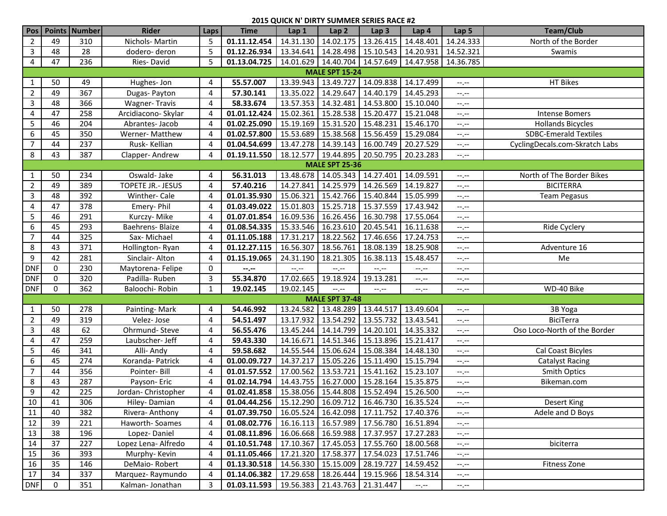| Pos            |                       | Points Number | <b>Rider</b>            | Laps           | <b>Time</b>                                                  | Lap 1               | Lap <sub>2</sub>                              | Lap <sub>3</sub>      | Lap <sub>4</sub>      | Lap <sub>5</sub> | <b>Team/Club</b>               |  |
|----------------|-----------------------|---------------|-------------------------|----------------|--------------------------------------------------------------|---------------------|-----------------------------------------------|-----------------------|-----------------------|------------------|--------------------------------|--|
| $\overline{2}$ | 49                    | 310           | Nichols-Martin          | 5              | 01.11.12.454                                                 | 14.31.130           |                                               | 14.02.175 13.26.415   | 14.48.401             | 14.24.333        | North of the Border            |  |
| 3              | 48                    | 28            | dodero-deron            | 5              | 01.12.26.934                                                 |                     | 13.34.641   14.28.498   15.10.543   14.20.931 |                       |                       | 14.52.321        | Swamis                         |  |
| 4              | 47                    | 236           | Ries-David              | 5              | 01.13.04.725                                                 |                     | 14.01.629 14.40.704 14.57.649 14.47.958       |                       |                       | 14.36.785        |                                |  |
|                | <b>MALE SPT 15-24</b> |               |                         |                |                                                              |                     |                                               |                       |                       |                  |                                |  |
| 1              | 50                    | 49            | Hughes-Jon              | 4              | 55.57.007                                                    | 13.39.943           | 13.49.727                                     | 14.09.838             | 14.17.499             | --.--            | <b>HT Bikes</b>                |  |
| $\overline{2}$ | 49                    | 367           | Dugas-Payton            | 4              | 57.30.141                                                    | 13.35.022           | 14.29.647                                     | 14.40.179             | 14.45.293             | --.--            |                                |  |
| 3              | 48                    | 366           | <b>Wagner-Travis</b>    | 4              | 58.33.674                                                    |                     | 13.57.353 14.32.481                           | 14.53.800             | 15.10.040             | $-1, -1$         |                                |  |
| 4              | 47                    | 258           | Arcidiacono- Skylar     | 4              | 01.01.12.424                                                 | 15.02.361           | 15.28.538 15.20.477                           |                       | 15.21.048             | --.--            | <b>Intense Bomers</b>          |  |
| 5              | 46                    | 204           | Abrantes-Jacob          | 4              | 01.02.25.090                                                 | 15.19.169           | 15.31.520                                     | 15.48.231             | 15.46.170             | $-1, -1$         | <b>Hollands Bicycles</b>       |  |
| 6              | 45                    | 350           | Werner-Matthew          | 4              | 01.02.57.800                                                 | 15.53.689           | 15.38.568                                     | 15.56.459             | 15.29.084             | $-1, -1$         | <b>SDBC-Emerald Textiles</b>   |  |
| 7              | 44                    | 237           | Rusk-Kellian            | 4              | 01.04.54.699                                                 | 13.47.278           | 14.39.143                                     | 16.00.749             | 20.27.529             | $-1, -1$         | CyclingDecals.com-Skratch Labs |  |
| 8              | 43                    | 387           | Clapper-Andrew          | 4              | 01.19.11.550                                                 | 18.12.577           | 19.44.895                                     | 20.50.795             | 20.23.283             | $-1, -1$         |                                |  |
|                |                       |               |                         |                |                                                              |                     | <b>MALE SPT 25-36</b>                         |                       |                       |                  |                                |  |
| -1             | 50                    | 234           | Oswald-Jake             | 4              | 56.31.013                                                    |                     | 13.48.678 14.05.343 14.27.401                 |                       | 14.09.591             | --.--            | North of The Border Bikes      |  |
| $\overline{2}$ | 49                    | 389           | TOPETE JR.- JESUS       | 4              | 57.40.216                                                    | 14.27.841           | 14.25.979                                     | 14.26.569             | 14.19.827             | --.--            | <b>BICITERRA</b>               |  |
| 3              | 48                    | 392           | Winther- Cale           | 4              | 01.01.35.930                                                 | 15.06.321           | 15.42.766                                     | 15.40.844             | 15.05.999             | --.--            | <b>Team Pegasus</b>            |  |
| 4              | 47                    | 378           | Emery-Phil              | 4              | 01.03.49.022                                                 | 15.01.803           | 15.25.718                                     | 15.37.559             | 17.43.942             | --.--            |                                |  |
| 5              | 46                    | 291           | Kurczy-Mike             | 4              | 01.07.01.854                                                 |                     | 16.09.536   16.26.456   16.30.798             |                       | 17.55.064             | --.--            |                                |  |
| 6              | 45                    | 293           | <b>Baehrens- Blaize</b> | 4              | 01.08.54.335                                                 |                     | 15.33.546 16.23.610                           | 20.45.541             | 16.11.638             | --.--            | Ride Cyclery                   |  |
| $\overline{7}$ | 44                    | 325           | Sax-Michael             | 4              | 01.11.05.188                                                 | 17.31.217           | 18.22.562                                     | 17.46.656             | 17.24.753             | $-1, -1$         |                                |  |
| 8              | 43                    | 371           | Hollington-Ryan         | 4              | 01.12.27.115                                                 | 16.56.307           | 18.56.761                                     | 18.08.139             | 18.25.908             | $-1, -1$         | Adventure 16                   |  |
| 9              | 42                    | 281           | Sinclair-Alton          | 4              | 01.15.19.065                                                 | 24.31.190           | 18.21.305                                     | 16.38.113             | 15.48.457             | $-1, -1$         | Me                             |  |
| <b>DNF</b>     | 0                     | 230           | Maytorena-Felipe        | 0              | $-1$ , $-1$                                                  | $--, --$            | $-1$ .                                        | $-1$ .                | $-1$                  | $-1, -1$         |                                |  |
| <b>DNF</b>     | 0                     | 320           | Padilla-Ruben           | 3              | 55.34.870                                                    | 17.02.665           | 19.18.924                                     | 19.13.281             | --,--                 | $-1, -1$         |                                |  |
| <b>DNF</b>     | 0                     | 362           | Baloochi- Robin         | $\mathbf{1}$   | 19.02.145                                                    | 19.02.145           | $-1$ .                                        | $-1, -1$              | --,--                 | $-1, -1$         | WD-40 Bike                     |  |
|                |                       |               |                         |                |                                                              |                     | <b>MALE SPT 37-48</b>                         |                       |                       |                  |                                |  |
| -1             | 50                    | 278           | Painting-Mark           | 4              | 54.46.992                                                    |                     | 13.24.582 13.48.289 13.44.517                 |                       | 13.49.604             | --.--            | 3B Yoga                        |  |
| $\overline{2}$ | 49                    | 319           | Velez-Jose              | 4              | 54.51.497                                                    | 13.17.932           | 13.54.292                                     | 13.55.732             | 13.43.541             | --.--            | <b>BiciTerra</b>               |  |
| 3              | 48                    | 62            | Ohrmund-Steve           | 4              | 56.55.476                                                    |                     | 13.45.244 14.14.799 14.20.101                 |                       | 14.35.332             | --.--            | Oso Loco-North of the Border   |  |
| 4              | 47                    | 259           | Laubscher- Jeff         | 4              | 59.43.330                                                    | 14.16.671           |                                               | 14.51.346   15.13.896 | 15.21.417             | --.--            |                                |  |
| 5              | 46                    | 341           | Alli-Andy               | 4              | 59.58.682                                                    |                     | 14.55.544   15.06.624   15.08.384             |                       | 14.48.130             | --.--            | Cal Coast Bicyles              |  |
| 6              | 45                    | 274           | Koranda- Patrick        | 4              | 01.00.09.727                                                 | 14.37.217           | 15.05.226 15.11.490                           |                       | 15.15.794             | $-1, -1$         | <b>Catalyst Racing</b>         |  |
| $\overline{7}$ | 44                    | 356           | Pointer-Bill            | 4              | 01.01.57.552                                                 | 17.00.562 13.53.721 |                                               | 15.41.162             | 15.23.107             | --.--            | Smith Optics                   |  |
| 8              | 43                    | 287           | Payson-Eric             | 4              | 01.02.14.794                                                 |                     | 14.43.755 16.27.000                           | 15.28.164             | 15.35.875             | $-1, -1$         | Bikeman.com                    |  |
| 9              | 42                    | 225           | Jordan-Christopher      | 4              | 01.02.41.858                                                 |                     | 15.38.056   15.44.808   15.52.494   15.26.500 |                       |                       | $-1, -1$         |                                |  |
| 10             | 41                    | 306           | Hiley-Damian            | $\overline{4}$ | 01.04.44.256   15.12.290   16.09.712   16.46.730   16.35.524 |                     |                                               |                       |                       | $-1, -1$         | <b>Desert King</b>             |  |
| 11             | 40                    | 382           | Rivera-Anthony          | 4              | 01.07.39.750                                                 |                     | 16.05.524   16.42.098   17.11.752   17.40.376 |                       |                       | $-1, -1$         | Adele and D Boys               |  |
| 12             | 39                    | 221           | Haworth-Soames          | 4              | 01.08.02.776                                                 |                     | 16.16.113   16.57.989   17.56.780   16.51.894 |                       |                       | $-1, -1$         |                                |  |
| 13             | 38                    | 196           | Lopez-Daniel            | 4              | 01.08.11.896                                                 |                     | 16.06.668   16.59.988   17.37.957   17.27.283 |                       |                       | --.--            |                                |  |
| 14             | 37                    | 227           | Lopez Lena- Alfredo     | 4              | 01.10.51.748                                                 |                     | 17.10.367 17.45.053 17.55.760 18.00.568       |                       |                       | --.--            | biciterra                      |  |
| 15             | 36                    | 393           | Murphy-Kevin            | 4              | 01.11.05.466   17.21.320   17.58.377   17.54.023   17.51.746 |                     |                                               |                       |                       | --.--            |                                |  |
| 16             | 35                    | 146           | DeMaio-Robert           | 4              | 01.13.30.518                                                 |                     | 14.56.330   15.15.009   28.19.727   14.59.452 |                       |                       | --.--            | Fitness Zone                   |  |
| 17             | 34                    | 337           | Marquez-Raymundo        | 4              | 01.14.06.382                                                 |                     | 17.29.658   18.26.444   19.15.966   18.54.314 |                       |                       | $-1, -1$         |                                |  |
| <b>DNF</b>     | 0                     | 351           | Kalman-Jonathan         | 3              | 01.03.11.593                                                 |                     | $19.56.383$ 21.43.763 21.31.447               |                       | $-\text{-},\text{-}-$ | $-1.7 -$         |                                |  |